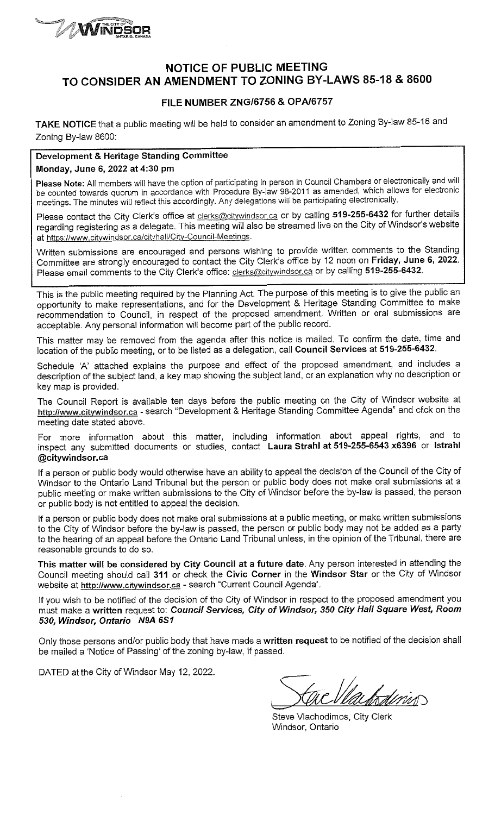

## **NOTICE OF PUBLIC MEETING** TO CONSIDER AN AMENDMENT TO ZONING BY-LAWS 85-18 & 8600

### FILE NUMBER ZNG/6756 & OPA/6757

TAKE NOTICE that a public meeting will be held to consider an amendment to Zoning By-law 85-18 and Zoning By-law 8600:

# Development & Heritage Standing Committee

#### Monday, June 6, 2022 at 4:30 pm

Please Note: All members will have the option of participating in person in Council Chambers or electronically and will be counted towards quorum in accordance with Procedure By-law 98-2011 as amended, which allows for electronic meetings. The minutes will reflect this accordingly. Any delegations will be participating electronically.

Please contact the City Clerk's office at clerks@citywindsor.ca or by calling 519-255-6432 for further details regarding registering as a delegate. This meeting will also be streamed live on the City of Windsor's website at https://www.citywindsor.ca/cityhall/City-Council-Meetings.

Written submissions are encouraged and persons wishing to provide written comments to the Standing Committee are strongly encouraged to contact the City Clerk's office by 12 noon on Friday, June 6, 2022. Please email comments to the City Clerk's office: clerks@citywindsor.ca or by calling 519-255-6432.

This is the public meeting required by the Planning Act. The purpose of this meeting is to give the public an opportunity to make representations, and for the Development & Heritage Standing Committee to make recommendation to Council, in respect of the proposed amendment. Written or oral submissions are acceptable. Any personal information will become part of the public record.

This matter may be removed from the agenda after this notice is mailed. To confirm the date, time and location of the public meeting, or to be listed as a delegation, call Council Services at 519-255-6432.

Schedule 'A' attached explains the purpose and effect of the proposed amendment, and includes a description of the subject land, a key map showing the subject land, or an explanation why no description or key map is provided.

The Council Report is available ten days before the public meeting on the City of Windsor website at http://www.citywindsor.ca - search "Development & Heritage Standing Committee Agenda" and click on the meeting date stated above.

For more information about this matter, including information about appeal rights, and to inspect any submitted documents or studies, contact Laura Strahl at 519-255-6543 x6396 or Istrahl @citywindsor.ca

If a person or public body would otherwise have an ability to appeal the decision of the Council of the City of Windsor to the Ontario Land Tribunal but the person or public body does not make oral submissions at a public meeting or make written submissions to the City of Windsor before the by-law is passed, the person or public body is not entitled to appeal the decision.

If a person or public body does not make oral submissions at a public meeting, or make written submissions to the City of Windsor before the by-law is passed, the person or public body may not be added as a party to the hearing of an appeal before the Ontario Land Tribunal unless, in the opinion of the Tribunal, there are reasonable grounds to do so.

This matter will be considered by City Council at a future date. Any person interested in attending the Council meeting should call 311 or check the Civic Corner in the Windsor Star or the City of Windsor website at http://www.citywindsor.ca - search "Current Council Agenda".

If you wish to be notified of the decision of the City of Windsor in respect to the proposed amendment you must make a written request to: Council Services, City of Windsor, 350 City Hall Square West, Room 530, Windsor, Ontario N9A 6S1

Only those persons and/or public body that have made a written request to be notified of the decision shall be mailed a 'Notice of Passing' of the zoning by-law, if passed.

DATED at the City of Windsor May 12, 2022.

dinin

Steve Vlachodimos, City Clerk Windsor, Ontario